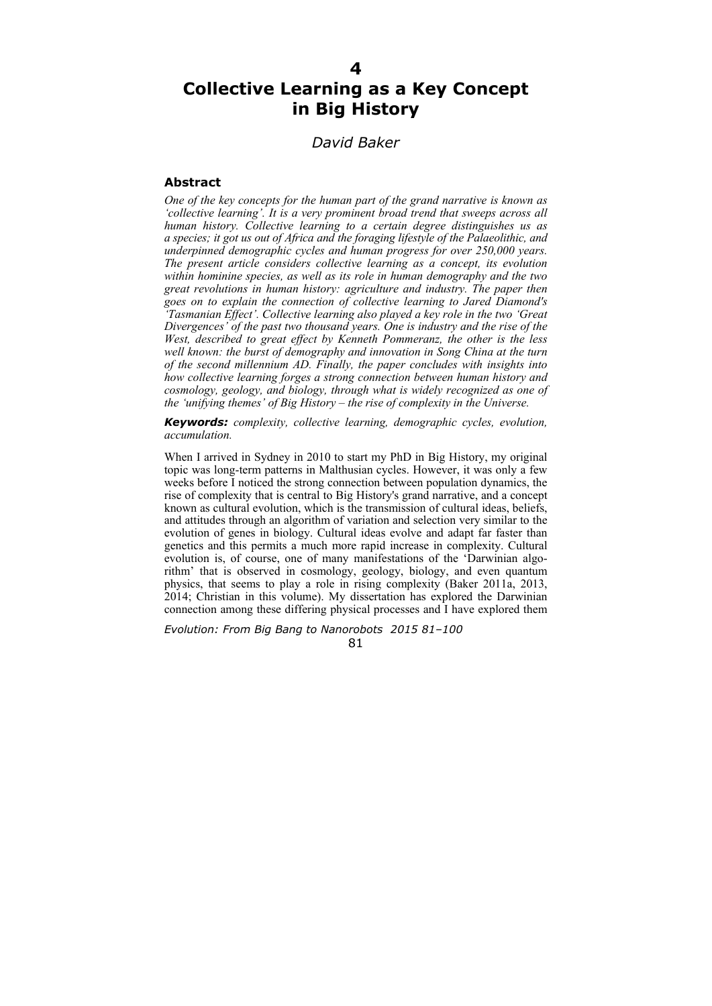# **Collective Learning as a Key Concept in Big History**

# *David Baker*

## **Abstract**

*One of the key concepts for the human part of the grand narrative is known as 'collective learning'. It is a very prominent broad trend that sweeps across all human history. Collective learning to a certain degree distinguishes us as a species; it got us out of Africa and the foraging lifestyle of the Palaeolithic, and underpinned demographic cycles and human progress for over 250,000 years. The present article сonsiders collective learning as a concept, its evolution within hominine species, as well as its role in human demography and the two great revolutions in human history: agriculture and industry. The paper then goes on to explain the connection of collective learning to Jared Diamond's 'Tasmanian Effect'. Collective learning also played a key role in the two 'Great Divergences' of the past two thousand years. One is industry and the rise of the West, described to great effect by Kenneth Pommeranz, the other is the less well known: the burst of demography and innovation in Song China at the turn of the second millennium AD. Finally, the paper concludes with insights into how collective learning forges a strong connection between human history and cosmology, geology, and biology, through what is widely recognized as one of the 'unifying themes' of Big History – the rise of complexity in the Universe.* 

*Keywords: complexity, collective learning, demographic cycles, evolution, accumulation.* 

When I arrived in Sydney in 2010 to start my PhD in Big History, my original topic was long-term patterns in Malthusian cycles. However, it was only a few weeks before I noticed the strong connection between population dynamics, the rise of complexity that is central to Big History's grand narrative, and a concept known as cultural evolution, which is the transmission of cultural ideas, beliefs, and attitudes through an algorithm of variation and selection very similar to the evolution of genes in biology. Cultural ideas evolve and adapt far faster than genetics and this permits a much more rapid increase in complexity. Cultural evolution is, of course, one of many manifestations of the 'Darwinian algorithm' that is observed in cosmology, geology, biology, and even quantum physics, that seems to play a role in rising complexity (Baker 2011a, 2013, 2014; Christian in this volume). My dissertation has explored the Darwinian connection among these differing physical processes and I have explored them

*Evolution: From Big Bang to Nanorobots 2015 81–100* 

81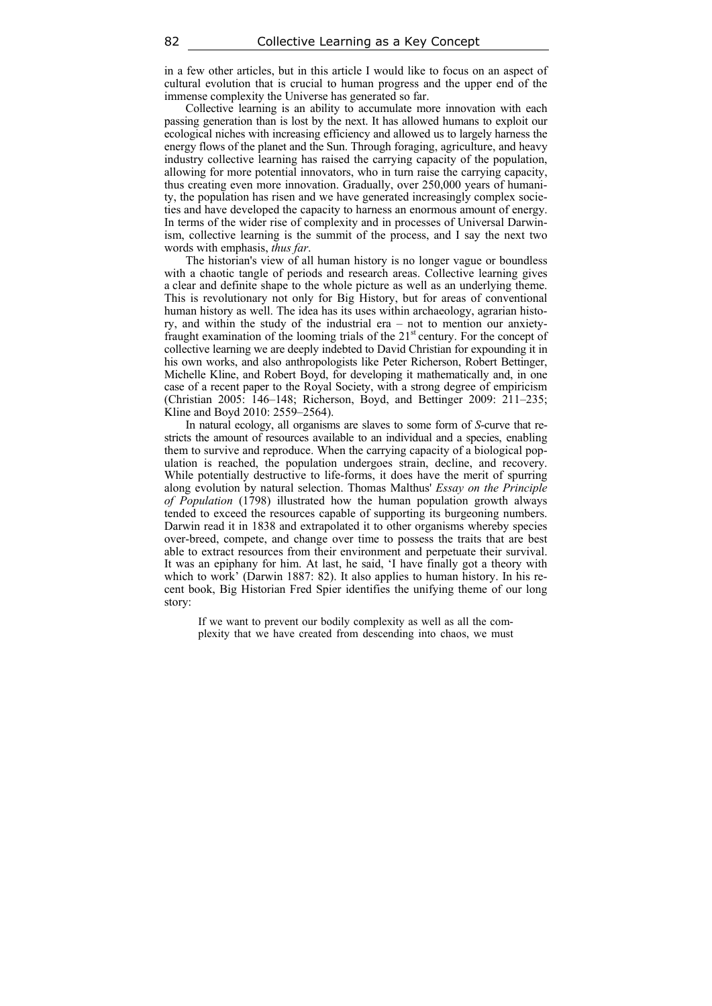in a few other articles, but in this article I would like to focus on an aspect of cultural evolution that is crucial to human progress and the upper end of the immense complexity the Universe has generated so far.

Collective learning is an ability to accumulate more innovation with each passing generation than is lost by the next. It has allowed humans to exploit our ecological niches with increasing efficiency and allowed us to largely harness the energy flows of the planet and the Sun. Through foraging, agriculture, and heavy industry collective learning has raised the carrying capacity of the population, allowing for more potential innovators, who in turn raise the carrying capacity, thus creating even more innovation. Gradually, over 250,000 years of humanity, the population has risen and we have generated increasingly complex societies and have developed the capacity to harness an enormous amount of energy. In terms of the wider rise of complexity and in processes of Universal Darwinism, collective learning is the summit of the process, and I say the next two words with emphasis, *thus far*.

The historian's view of all human history is no longer vague or boundless with a chaotic tangle of periods and research areas. Collective learning gives a clear and definite shape to the whole picture as well as an underlying theme. This is revolutionary not only for Big History, but for areas of conventional human history as well. The idea has its uses within archaeology, agrarian history, and within the study of the industrial era – not to mention our anxietyfraught examination of the looming trials of the  $21<sup>st</sup>$  century. For the concept of collective learning we are deeply indebted to David Christian for expounding it in his own works, and also anthropologists like Peter Richerson, Robert Bettinger, Michelle Kline, and Robert Boyd, for developing it mathematically and, in one case of a recent paper to the Royal Society, with a strong degree of empiricism (Christian 2005: 146–148; Richerson, Boyd, and Bettinger 2009: 211–235; Kline and Boyd 2010: 2559–2564).

In natural ecology, all organisms are slaves to some form of *S*-curve that restricts the amount of resources available to an individual and a species, enabling them to survive and reproduce. When the carrying capacity of a biological population is reached, the population undergoes strain, decline, and recovery. While potentially destructive to life-forms, it does have the merit of spurring along evolution by natural selection. Thomas Malthus' *Essay on the Principle of Population* (1798) illustrated how the human population growth always tended to exceed the resources capable of supporting its burgeoning numbers. Darwin read it in 1838 and extrapolated it to other organisms whereby species over-breed, compete, and change over time to possess the traits that are best able to extract resources from their environment and perpetuate their survival. It was an epiphany for him. At last, he said, 'I have finally got a theory with which to work' (Darwin 1887: 82). It also applies to human history. In his recent book, Big Historian Fred Spier identifies the unifying theme of our long story:

If we want to prevent our bodily complexity as well as all the complexity that we have created from descending into chaos, we must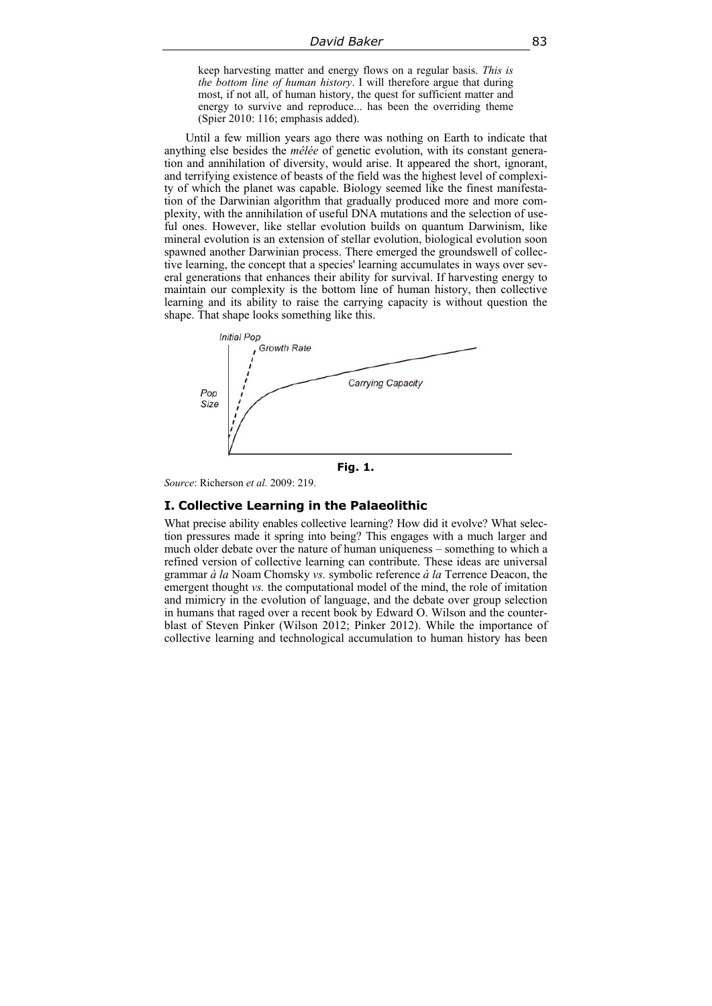keep harvesting matter and energy flows on a regular basis. *This is the bottom line of human history*. I will therefore argue that during most, if not all, of human history, the quest for sufficient matter and energy to survive and reproduce... has been the overriding theme (Spier 2010: 116; emphasis added).

Until a few million years ago there was nothing on Earth to indicate that anything else besides the *mêlée* of genetic evolution, with its constant generation and annihilation of diversity, would arise. It appeared the short, ignorant, and terrifying existence of beasts of the field was the highest level of complexity of which the planet was capable. Biology seemed like the finest manifestation of the Darwinian algorithm that gradually produced more and more complexity, with the annihilation of useful DNA mutations and the selection of useful ones. However, like stellar evolution builds on quantum Darwinism, like mineral evolution is an extension of stellar evolution, biological evolution soon spawned another Darwinian process. There emerged the groundswell of collective learning, the concept that a species' learning accumulates in ways over several generations that enhances their ability for survival. If harvesting energy to maintain our complexity is the bottom line of human history, then collective learning and its ability to raise the carrying capacity is without question the shape. That shape looks something like this.



**Fig. 1.**

*Source*: Richerson *et al.* 2009: 219.

#### **I. Collective Learning in the Palaeolithic**

What precise ability enables collective learning? How did it evolve? What selection pressures made it spring into being? This engages with a much larger and much older debate over the nature of human uniqueness – something to which a refined version of collective learning can contribute. These ideas are universal grammar *à la* Noam Chomsky *vs.* symbolic reference *à la* Terrence Deacon, the emergent thought *vs.* the computational model of the mind, the role of imitation and mimicry in the evolution of language, and the debate over group selection in humans that raged over a recent book by Edward O. Wilson and the counterblast of Steven Pinker (Wilson 2012; Pinker 2012). While the importance of collective learning and technological accumulation to human history has been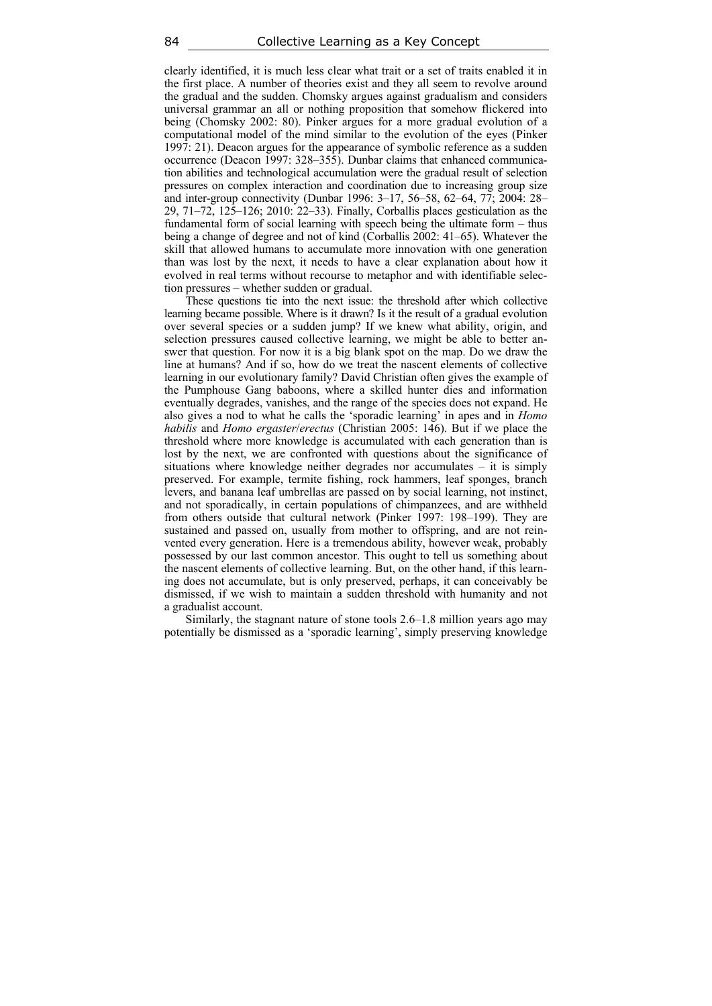clearly identified, it is much less clear what trait or a set of traits enabled it in the first place. A number of theories exist and they all seem to revolve around the gradual and the sudden. Chomsky argues against gradualism and considers universal grammar an all or nothing proposition that somehow flickered into being (Chomsky 2002: 80). Pinker argues for a more gradual evolution of a computational model of the mind similar to the evolution of the eyes (Pinker 1997: 21). Deacon argues for the appearance of symbolic reference as a sudden occurrence (Deacon 1997: 328–355). Dunbar claims that enhanced communication abilities and technological accumulation were the gradual result of selection pressures on complex interaction and coordination due to increasing group size and inter-group connectivity (Dunbar 1996: 3–17, 56–58, 62–64, 77; 2004: 28– 29, 71–72, 125–126; 2010: 22–33). Finally, Corballis places gesticulation as the fundamental form of social learning with speech being the ultimate form – thus being a change of degree and not of kind (Corballis 2002: 41–65). Whatever the skill that allowed humans to accumulate more innovation with one generation than was lost by the next, it needs to have a clear explanation about how it evolved in real terms without recourse to metaphor and with identifiable selection pressures – whether sudden or gradual.

These questions tie into the next issue: the threshold after which collective learning became possible. Where is it drawn? Is it the result of a gradual evolution over several species or a sudden jump? If we knew what ability, origin, and selection pressures caused collective learning, we might be able to better answer that question. For now it is a big blank spot on the map. Do we draw the line at humans? And if so, how do we treat the nascent elements of collective learning in our evolutionary family? David Christian often gives the example of the Pumphouse Gang baboons, where a skilled hunter dies and information eventually degrades, vanishes, and the range of the species does not expand. He also gives a nod to what he calls the 'sporadic learning' in apes and in *Homo habilis* and *Homo ergaster*/*erectus* (Christian 2005: 146). But if we place the threshold where more knowledge is accumulated with each generation than is lost by the next, we are confronted with questions about the significance of situations where knowledge neither degrades nor accumulates – it is simply preserved. For example, termite fishing, rock hammers, leaf sponges, branch levers, and banana leaf umbrellas are passed on by social learning, not instinct, and not sporadically, in certain populations of chimpanzees, and are withheld from others outside that cultural network (Pinker 1997: 198–199). They are sustained and passed on, usually from mother to offspring, and are not reinvented every generation. Here is a tremendous ability, however weak, probably possessed by our last common ancestor. This ought to tell us something about the nascent elements of collective learning. But, on the other hand, if this learning does not accumulate, but is only preserved, perhaps, it can conceivably be dismissed, if we wish to maintain a sudden threshold with humanity and not a gradualist account.

Similarly, the stagnant nature of stone tools 2.6–1.8 million years ago may potentially be dismissed as a 'sporadic learning', simply preserving knowledge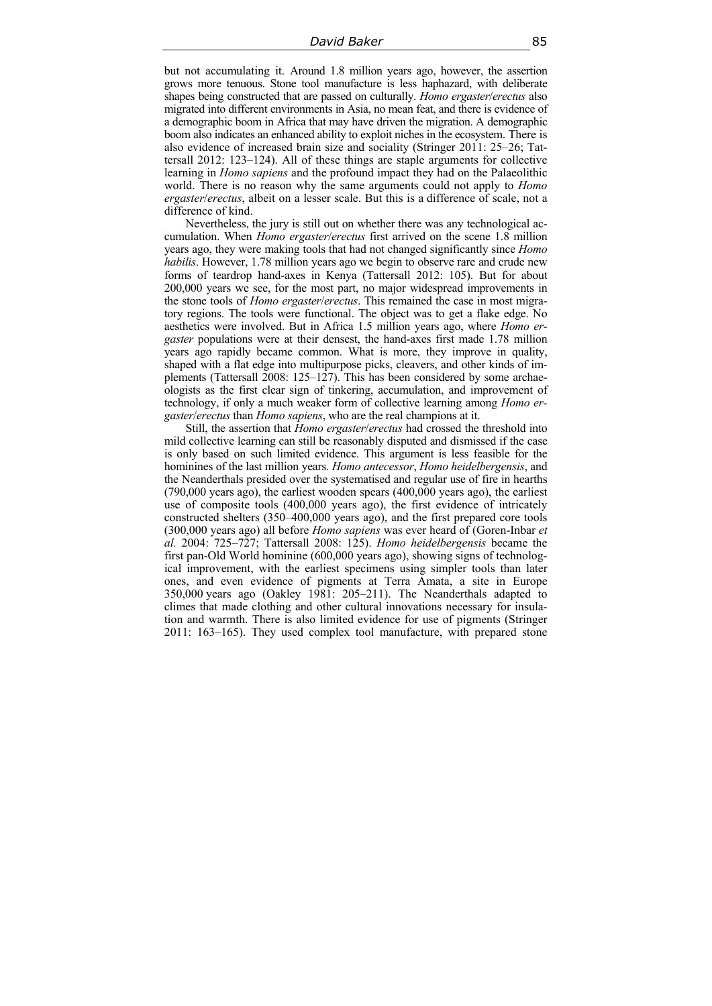but not accumulating it. Around 1.8 million years ago, however, the assertion grows more tenuous. Stone tool manufacture is less haphazard, with deliberate shapes being constructed that are passed on culturally. *Homo ergaster*/*erectus* also migrated into different environments in Asia, no mean feat, and there is evidence of a demographic boom in Africa that may have driven the migration. A demographic boom also indicates an enhanced ability to exploit niches in the ecosystem. There is also evidence of increased brain size and sociality (Stringer 2011: 25–26; Tattersall 2012: 123–124). All of these things are staple arguments for collective learning in *Homo sapiens* and the profound impact they had on the Palaeolithic world. There is no reason why the same arguments could not apply to *Homo ergaster*/*erectus*, albeit on a lesser scale. But this is a difference of scale, not a difference of kind.

Nevertheless, the jury is still out on whether there was any technological accumulation. When *Homo ergaster*/*erectus* first arrived on the scene 1.8 million years ago, they were making tools that had not changed significantly since *Homo habilis*. However, 1.78 million years ago we begin to observe rare and crude new forms of teardrop hand-axes in Kenya (Tattersall 2012: 105). But for about 200,000 years we see, for the most part, no major widespread improvements in the stone tools of *Homo ergaster*/*erectus*. This remained the case in most migratory regions. The tools were functional. The object was to get a flake edge. No aesthetics were involved. But in Africa 1.5 million years ago, where *Homo ergaster* populations were at their densest, the hand-axes first made 1.78 million years ago rapidly became common. What is more, they improve in quality, shaped with a flat edge into multipurpose picks, cleavers, and other kinds of implements (Tattersall 2008: 125–127). This has been considered by some archaeologists as the first clear sign of tinkering, accumulation, and improvement of technology, if only a much weaker form of collective learning among *Homo ergaster*/*erectus* than *Homo sapiens*, who are the real champions at it.

Still, the assertion that *Homo ergaster*/*erectus* had crossed the threshold into mild collective learning can still be reasonably disputed and dismissed if the case is only based on such limited evidence. This argument is less feasible for the hominines of the last million years. *Homo antecessor*, *Homo heidelbergensis*, and the Neanderthals presided over the systematised and regular use of fire in hearths (790,000 years ago), the earliest wooden spears (400,000 years ago), the earliest use of composite tools (400,000 years ago), the first evidence of intricately constructed shelters (350–400,000 years ago), and the first prepared core tools (300,000 years ago) all before *Homo sapiens* was ever heard of (Goren-Inbar *et al.* 2004: 725–727; Tattersall 2008: 125). *Homo heidelbergensis* became the first pan-Old World hominine (600,000 years ago), showing signs of technological improvement, with the earliest specimens using simpler tools than later ones, and even evidence of pigments at Terra Amata, a site in Europe 350,000 years ago (Oakley 1981: 205–211). The Neanderthals adapted to climes that made clothing and other cultural innovations necessary for insulation and warmth. There is also limited evidence for use of pigments (Stringer 2011: 163–165). They used complex tool manufacture, with prepared stone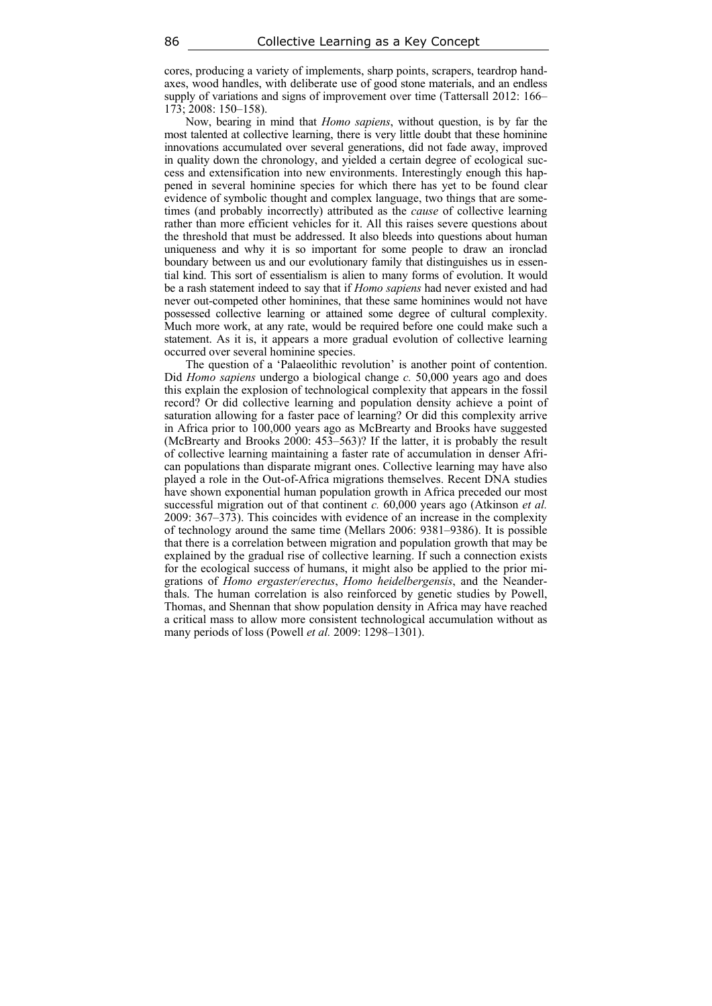cores, producing a variety of implements, sharp points, scrapers, teardrop handaxes, wood handles, with deliberate use of good stone materials, and an endless supply of variations and signs of improvement over time (Tattersall 2012: 166– 173; 2008: 150–158).

Now, bearing in mind that *Homo sapiens*, without question, is by far the most talented at collective learning, there is very little doubt that these hominine innovations accumulated over several generations, did not fade away, improved in quality down the chronology, and yielded a certain degree of ecological success and extensification into new environments. Interestingly enough this happened in several hominine species for which there has yet to be found clear evidence of symbolic thought and complex language, two things that are sometimes (and probably incorrectly) attributed as the *cause* of collective learning rather than more efficient vehicles for it. All this raises severe questions about the threshold that must be addressed. It also bleeds into questions about human uniqueness and why it is so important for some people to draw an ironclad boundary between us and our evolutionary family that distinguishes us in essential kind. This sort of essentialism is alien to many forms of evolution. It would be a rash statement indeed to say that if *Homo sapiens* had never existed and had never out-competed other hominines, that these same hominines would not have possessed collective learning or attained some degree of cultural complexity. Much more work, at any rate, would be required before one could make such a statement. As it is, it appears a more gradual evolution of collective learning occurred over several hominine species.

The question of a 'Palaeolithic revolution' is another point of contention. Did *Homo sapiens* undergo a biological change *c.* 50,000 years ago and does this explain the explosion of technological complexity that appears in the fossil record? Or did collective learning and population density achieve a point of saturation allowing for a faster pace of learning? Or did this complexity arrive in Africa prior to 100,000 years ago as McBrearty and Brooks have suggested (McBrearty and Brooks 2000: 453–563)? If the latter, it is probably the result of collective learning maintaining a faster rate of accumulation in denser African populations than disparate migrant ones. Collective learning may have also played a role in the Out-of-Africa migrations themselves. Recent DNA studies have shown exponential human population growth in Africa preceded our most successful migration out of that continent *c.* 60,000 years ago (Atkinson *et al.* 2009: 367–373). This coincides with evidence of an increase in the complexity of technology around the same time (Mellars 2006: 9381–9386). It is possible that there is a correlation between migration and population growth that may be explained by the gradual rise of collective learning. If such a connection exists for the ecological success of humans, it might also be applied to the prior migrations of *Homo ergaster*/*erectus*, *Homo heidelbergensis*, and the Neanderthals. The human correlation is also reinforced by genetic studies by Powell, Thomas, and Shennan that show population density in Africa may have reached a critical mass to allow more consistent technological accumulation without as many periods of loss (Powell *et al.* 2009: 1298–1301).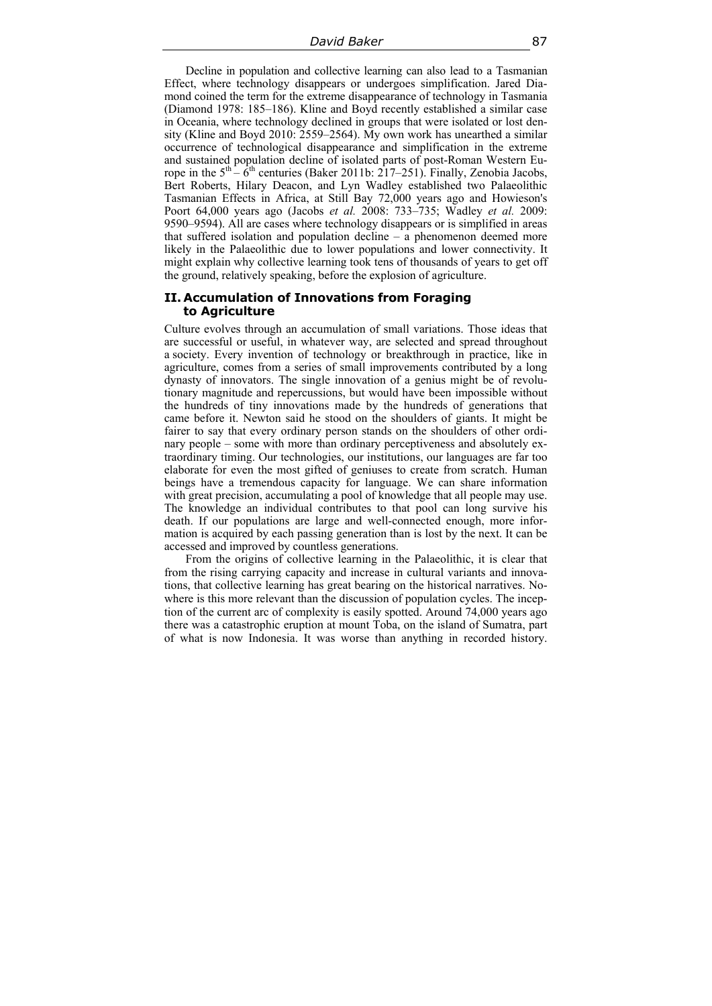Decline in population and collective learning can also lead to a Tasmanian Effect, where technology disappears or undergoes simplification. Jared Diamond coined the term for the extreme disappearance of technology in Tasmania (Diamond 1978: 185–186). Kline and Boyd recently established a similar case in Oceania, where technology declined in groups that were isolated or lost density (Kline and Boyd 2010: 2559–2564). My own work has unearthed a similar occurrence of technological disappearance and simplification in the extreme and sustained population decline of isolated parts of post-Roman Western Europe in the  $5<sup>th</sup> - 6<sup>th</sup>$  centuries (Baker 2011b: 217–251). Finally, Zenobia Jacobs, Bert Roberts, Hilary Deacon, and Lyn Wadley established two Palaeolithic Tasmanian Effects in Africa, at Still Bay 72,000 years ago and Howieson's Poort 64,000 years ago (Jacobs *et al.* 2008: 733–735; Wadley *et al.* 2009: 9590–9594). All are cases where technology disappears or is simplified in areas that suffered isolation and population decline – a phenomenon deemed more likely in the Palaeolithic due to lower populations and lower connectivity. It might explain why collective learning took tens of thousands of years to get off the ground, relatively speaking, before the explosion of agriculture.

## **II. Accumulation of Innovations from Foraging to Agriculture**

Culture evolves through an accumulation of small variations. Those ideas that are successful or useful, in whatever way, are selected and spread throughout a society. Every invention of technology or breakthrough in practice, like in agriculture, comes from a series of small improvements contributed by a long dynasty of innovators. The single innovation of a genius might be of revolutionary magnitude and repercussions, but would have been impossible without the hundreds of tiny innovations made by the hundreds of generations that came before it. Newton said he stood on the shoulders of giants. It might be fairer to say that every ordinary person stands on the shoulders of other ordinary people – some with more than ordinary perceptiveness and absolutely extraordinary timing. Our technologies, our institutions, our languages are far too elaborate for even the most gifted of geniuses to create from scratch. Human beings have a tremendous capacity for language. We can share information with great precision, accumulating a pool of knowledge that all people may use. The knowledge an individual contributes to that pool can long survive his death. If our populations are large and well-connected enough, more information is acquired by each passing generation than is lost by the next. It can be accessed and improved by countless generations.

From the origins of collective learning in the Palaeolithic, it is clear that from the rising carrying capacity and increase in cultural variants and innovations, that collective learning has great bearing on the historical narratives. Nowhere is this more relevant than the discussion of population cycles. The inception of the current arc of complexity is easily spotted. Around 74,000 years ago there was a catastrophic eruption at mount Toba, on the island of Sumatra, part of what is now Indonesia. It was worse than anything in recorded history.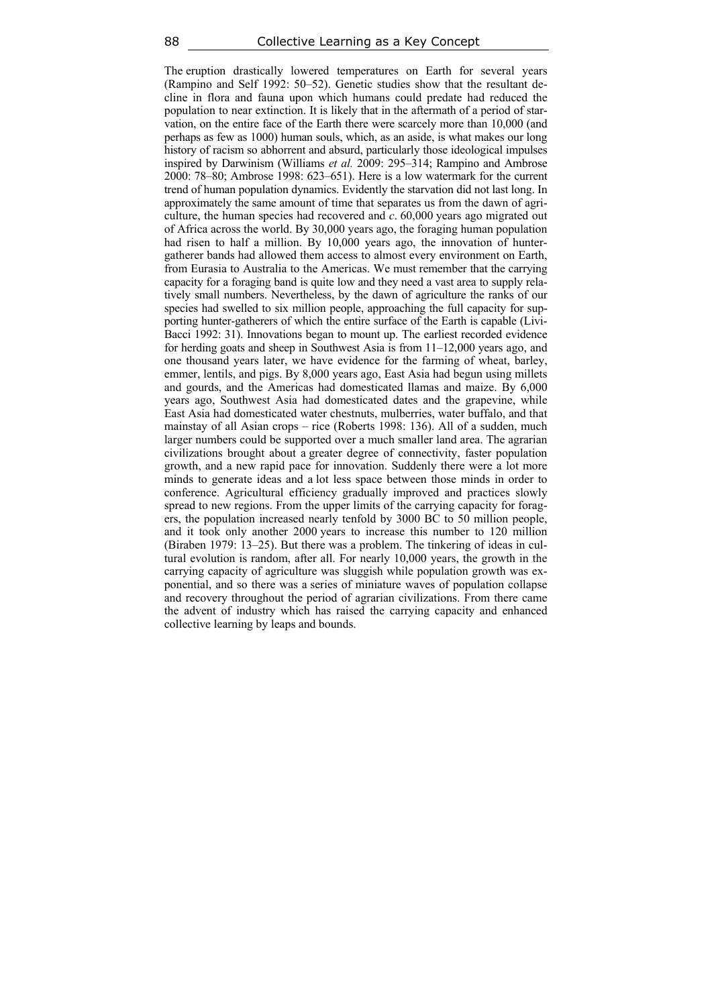The eruption drastically lowered temperatures on Earth for several years (Rampino and Self 1992: 50–52). Genetic studies show that the resultant decline in flora and fauna upon which humans could predate had reduced the population to near extinction. It is likely that in the aftermath of a period of starvation, on the entire face of the Earth there were scarcely more than 10,000 (and perhaps as few as 1000) human souls, which, as an aside, is what makes our long history of racism so abhorrent and absurd, particularly those ideological impulses inspired by Darwinism (Williams *et al.* 2009: 295–314; Rampino and Ambrose 2000: 78–80; Ambrose 1998: 623–651). Here is a low watermark for the current trend of human population dynamics. Evidently the starvation did not last long. In approximately the same amount of time that separates us from the dawn of agriculture, the human species had recovered and *c*. 60,000 years ago migrated out of Africa across the world. By 30,000 years ago, the foraging human population had risen to half a million. By 10,000 years ago, the innovation of huntergatherer bands had allowed them access to almost every environment on Earth, from Eurasia to Australia to the Americas. We must remember that the carrying capacity for a foraging band is quite low and they need a vast area to supply relatively small numbers. Nevertheless, by the dawn of agriculture the ranks of our species had swelled to six million people, approaching the full capacity for supporting hunter-gatherers of which the entire surface of the Earth is capable (Livi-Bacci 1992: 31). Innovations began to mount up. The earliest recorded evidence for herding goats and sheep in Southwest Asia is from 11–12,000 years ago, and one thousand years later, we have evidence for the farming of wheat, barley, emmer, lentils, and pigs. By 8,000 years ago, East Asia had begun using millets and gourds, and the Americas had domesticated llamas and maize. By 6,000 years ago, Southwest Asia had domesticated dates and the grapevine, while East Asia had domesticated water chestnuts, mulberries, water buffalo, and that mainstay of all Asian crops – rice (Roberts 1998: 136). All of a sudden, much larger numbers could be supported over a much smaller land area. The agrarian civilizations brought about a greater degree of connectivity, faster population growth, and a new rapid pace for innovation. Suddenly there were a lot more minds to generate ideas and a lot less space between those minds in order to conference. Agricultural efficiency gradually improved and practices slowly spread to new regions. From the upper limits of the carrying capacity for foragers, the population increased nearly tenfold by 3000 BC to 50 million people, and it took only another 2000 years to increase this number to 120 million (Biraben 1979: 13–25). But there was a problem. The tinkering of ideas in cultural evolution is random, after all. For nearly 10,000 years, the growth in the carrying capacity of agriculture was sluggish while population growth was exponential, and so there was a series of miniature waves of population collapse and recovery throughout the period of agrarian civilizations. From there came the advent of industry which has raised the carrying capacity and enhanced collective learning by leaps and bounds.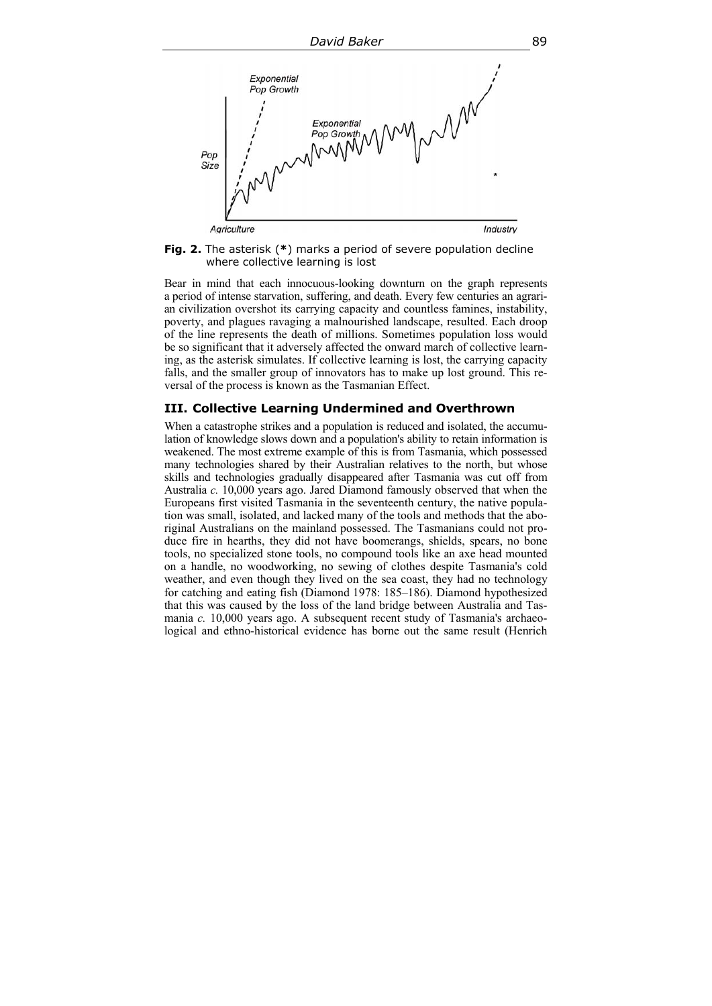

**Fig. 2.** The asterisk (**\***) marks a period of severe population decline where collective learning is lost

Bear in mind that each innocuous-looking downturn on the graph represents a period of intense starvation, suffering, and death. Every few centuries an agrarian civilization overshot its carrying capacity and countless famines, instability, poverty, and plagues ravaging a malnourished landscape, resulted. Each droop of the line represents the death of millions. Sometimes population loss would be so significant that it adversely affected the onward march of collective learning, as the asterisk simulates. If collective learning is lost, the carrying capacity falls, and the smaller group of innovators has to make up lost ground. This reversal of the process is known as the Tasmanian Effect.

#### **III. Collective Learning Undermined and Overthrown**

When a catastrophe strikes and a population is reduced and isolated, the accumulation of knowledge slows down and a population's ability to retain information is weakened. The most extreme example of this is from Tasmania, which possessed many technologies shared by their Australian relatives to the north, but whose skills and technologies gradually disappeared after Tasmania was cut off from Australia *c.* 10,000 years ago. Jared Diamond famously observed that when the Europeans first visited Tasmania in the seventeenth century, the native population was small, isolated, and lacked many of the tools and methods that the aboriginal Australians on the mainland possessed. The Tasmanians could not produce fire in hearths, they did not have boomerangs, shields, spears, no bone tools, no specialized stone tools, no compound tools like an axe head mounted on a handle, no woodworking, no sewing of clothes despite Tasmania's cold weather, and even though they lived on the sea coast, they had no technology for catching and eating fish (Diamond 1978: 185–186). Diamond hypothesized that this was caused by the loss of the land bridge between Australia and Tasmania *c.* 10,000 years ago. A subsequent recent study of Tasmania's archaeological and ethno-historical evidence has borne out the same result (Henrich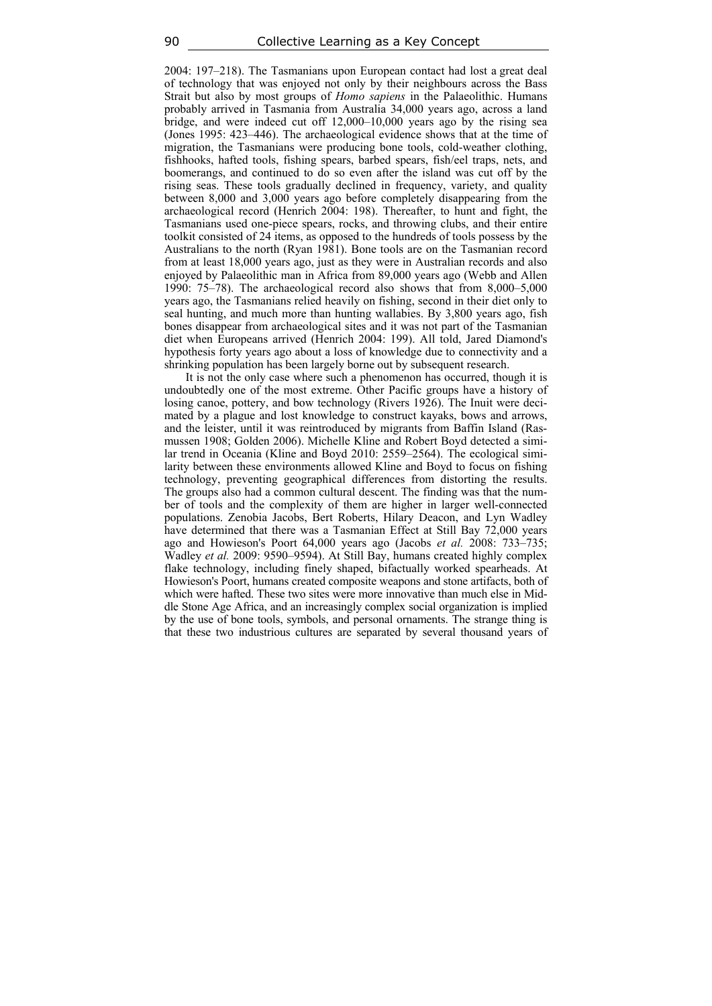2004: 197–218). The Tasmanians upon European contact had lost a great deal of technology that was enjoyed not only by their neighbours across the Bass Strait but also by most groups of *Homo sapiens* in the Palaeolithic. Humans probably arrived in Tasmania from Australia 34,000 years ago, across a land bridge, and were indeed cut off 12,000–10,000 years ago by the rising sea (Jones 1995: 423–446). The archaeological evidence shows that at the time of migration, the Tasmanians were producing bone tools, cold-weather clothing, fishhooks, hafted tools, fishing spears, barbed spears, fish/eel traps, nets, and boomerangs, and continued to do so even after the island was cut off by the rising seas. These tools gradually declined in frequency, variety, and quality between 8,000 and 3,000 years ago before completely disappearing from the archaeological record (Henrich 2004: 198). Thereafter, to hunt and fight, the Tasmanians used one-piece spears, rocks, and throwing clubs, and their entire toolkit consisted of 24 items, as opposed to the hundreds of tools possess by the Australians to the north (Ryan 1981). Bone tools are on the Tasmanian record from at least 18,000 years ago, just as they were in Australian records and also enjoyed by Palaeolithic man in Africa from 89,000 years ago (Webb and Allen 1990: 75–78). The archaeological record also shows that from 8,000–5,000 years ago, the Tasmanians relied heavily on fishing, second in their diet only to seal hunting, and much more than hunting wallabies. By 3,800 years ago, fish bones disappear from archaeological sites and it was not part of the Tasmanian diet when Europeans arrived (Henrich 2004: 199). All told, Jared Diamond's hypothesis forty years ago about a loss of knowledge due to connectivity and a shrinking population has been largely borne out by subsequent research.

It is not the only case where such a phenomenon has occurred, though it is undoubtedly one of the most extreme. Other Pacific groups have a history of losing canoe, pottery, and bow technology (Rivers 1926). The Inuit were decimated by a plague and lost knowledge to construct kayaks, bows and arrows, and the leister, until it was reintroduced by migrants from Baffin Island (Rasmussen 1908; Golden 2006). Michelle Kline and Robert Boyd detected a similar trend in Oceania (Kline and Boyd 2010: 2559–2564). The ecological similarity between these environments allowed Kline and Boyd to focus on fishing technology, preventing geographical differences from distorting the results. The groups also had a common cultural descent. The finding was that the number of tools and the complexity of them are higher in larger well-connected populations. Zenobia Jacobs, Bert Roberts, Hilary Deacon, and Lyn Wadley have determined that there was a Tasmanian Effect at Still Bay 72,000 years ago and Howieson's Poort 64,000 years ago (Jacobs *et al.* 2008: 733–735; Wadley *et al.* 2009: 9590–9594). At Still Bay, humans created highly complex flake technology, including finely shaped, bifactually worked spearheads. At Howieson's Poort, humans created composite weapons and stone artifacts, both of which were hafted. These two sites were more innovative than much else in Middle Stone Age Africa, and an increasingly complex social organization is implied by the use of bone tools, symbols, and personal ornaments. The strange thing is that these two industrious cultures are separated by several thousand years of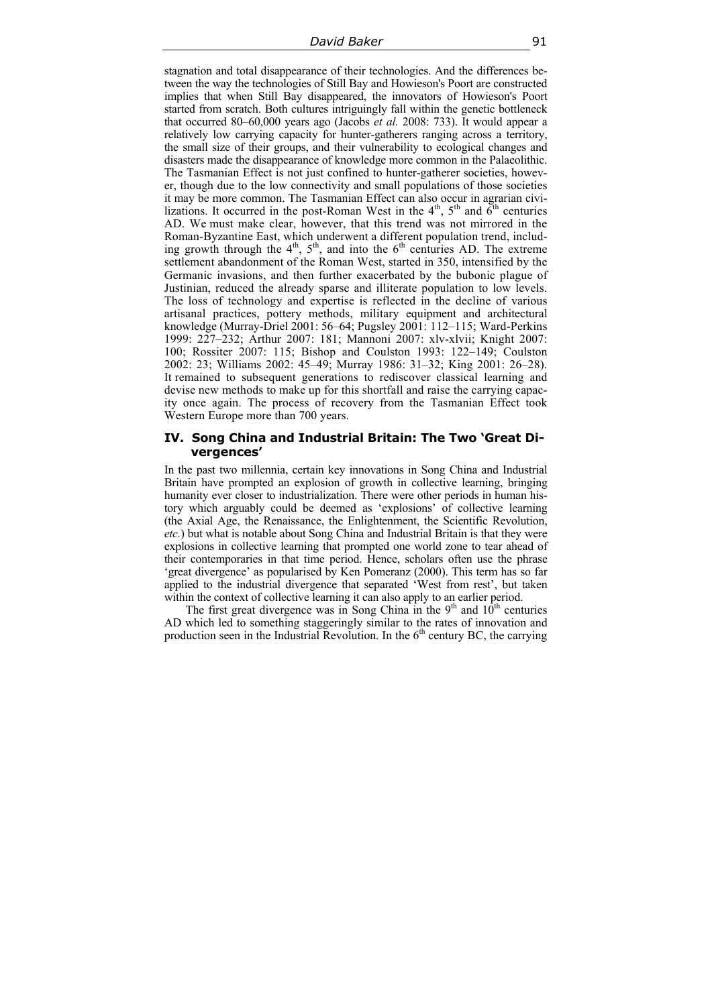stagnation and total disappearance of their technologies. And the differences between the way the technologies of Still Bay and Howieson's Poort are constructed implies that when Still Bay disappeared, the innovators of Howieson's Poort started from scratch. Both cultures intriguingly fall within the genetic bottleneck that occurred 80–60,000 years ago (Jacobs *et al.* 2008: 733). It would appear a relatively low carrying capacity for hunter-gatherers ranging across a territory, the small size of their groups, and their vulnerability to ecological changes and disasters made the disappearance of knowledge more common in the Palaeolithic. The Tasmanian Effect is not just confined to hunter-gatherer societies, however, though due to the low connectivity and small populations of those societies it may be more common. The Tasmanian Effect can also occur in agrarian civilizations. It occurred in the post-Roman West in the  $4<sup>th</sup>$ ,  $5<sup>th</sup>$  and  $6<sup>th</sup>$  centuries AD. We must make clear, however, that this trend was not mirrored in the Roman-Byzantine East, which underwent a different population trend, including growth through the  $4<sup>th</sup>$ ,  $5<sup>th</sup>$ , and into the  $6<sup>th</sup>$  centuries AD. The extreme settlement abandonment of the Roman West, started in 350, intensified by the Germanic invasions, and then further exacerbated by the bubonic plague of Justinian, reduced the already sparse and illiterate population to low levels. The loss of technology and expertise is reflected in the decline of various artisanal practices, pottery methods, military equipment and architectural knowledge (Murray-Driel 2001: 56–64; Pugsley 2001: 112–115; Ward-Perkins 1999: 227–232; Arthur 2007: 181; Mannoni 2007: xlv-xlvii; Knight 2007: 100; Rossiter 2007: 115; Bishop and Coulston 1993: 122–149; Coulston 2002: 23; Williams 2002: 45–49; Murray 1986: 31–32; King 2001: 26–28). It remained to subsequent generations to rediscover classical learning and devise new methods to make up for this shortfall and raise the carrying capacity once again. The process of recovery from the Tasmanian Effect took Western Europe more than 700 years.

## **IV. Song China and Industrial Britain: The Two 'Great Divergences'**

In the past two millennia, certain key innovations in Song China and Industrial Britain have prompted an explosion of growth in collective learning, bringing humanity ever closer to industrialization. There were other periods in human history which arguably could be deemed as 'explosions' of collective learning (the Axial Age, the Renaissance, the Enlightenment, the Scientific Revolution, *etc.*) but what is notable about Song China and Industrial Britain is that they were explosions in collective learning that prompted one world zone to tear ahead of their contemporaries in that time period. Hence, scholars often use the phrase 'great divergence' as popularised by Ken Pomeranz (2000). This term has so far applied to the industrial divergence that separated 'West from rest', but taken within the context of collective learning it can also apply to an earlier period.

The first great divergence was in Song China in the  $9<sup>th</sup>$  and  $10<sup>th</sup>$  centuries AD which led to something staggeringly similar to the rates of innovation and production seen in the Industrial Revolution. In the  $6<sup>th</sup>$  century BC, the carrying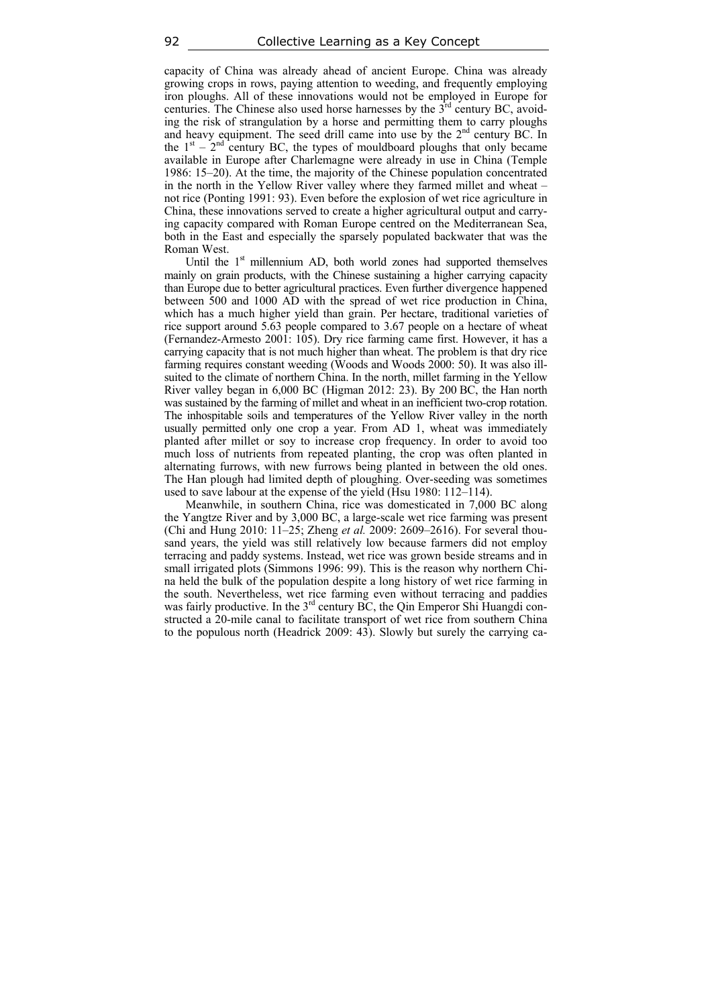capacity of China was already ahead of ancient Europe. China was already growing crops in rows, paying attention to weeding, and frequently employing iron ploughs. All of these innovations would not be employed in Europe for centuries. The Chinese also used horse harnesses by the  $3<sup>rd</sup>$  century BC, avoiding the risk of strangulation by a horse and permitting them to carry ploughs and heavy equipment. The seed drill came into use by the  $2<sup>nd</sup>$  century BC. In the  $1<sup>st</sup> - 2<sup>nd</sup>$  century BC, the types of mouldboard ploughs that only became available in Europe after Charlemagne were already in use in China (Temple 1986: 15–20). At the time, the majority of the Chinese population concentrated in the north in the Yellow River valley where they farmed millet and wheat – not rice (Ponting 1991: 93). Even before the explosion of wet rice agriculture in China, these innovations served to create a higher agricultural output and carrying capacity compared with Roman Europe centred on the Mediterranean Sea, both in the East and especially the sparsely populated backwater that was the Roman West.

Until the  $1<sup>st</sup>$  millennium AD, both world zones had supported themselves mainly on grain products, with the Chinese sustaining a higher carrying capacity than Europe due to better agricultural practices. Even further divergence happened between 500 and 1000 AD with the spread of wet rice production in China, which has a much higher yield than grain. Per hectare, traditional varieties of rice support around 5.63 people compared to 3.67 people on a hectare of wheat (Fernandez-Armesto 2001: 105). Dry rice farming came first. However, it has a carrying capacity that is not much higher than wheat. The problem is that dry rice farming requires constant weeding (Woods and Woods 2000: 50). It was also illsuited to the climate of northern China. In the north, millet farming in the Yellow River valley began in 6,000 BC (Higman 2012: 23). By 200 BC, the Han north was sustained by the farming of millet and wheat in an inefficient two-crop rotation. The inhospitable soils and temperatures of the Yellow River valley in the north usually permitted only one crop a year. From AD 1, wheat was immediately planted after millet or soy to increase crop frequency. In order to avoid too much loss of nutrients from repeated planting, the crop was often planted in alternating furrows, with new furrows being planted in between the old ones. The Han plough had limited depth of ploughing. Over-seeding was sometimes used to save labour at the expense of the yield (Hsu 1980: 112–114).

Meanwhile, in southern China, rice was domesticated in 7,000 BC along the Yangtze River and by 3,000 BC, a large-scale wet rice farming was present (Chi and Hung 2010: 11–25; Zheng *et al.* 2009: 2609–2616). For several thousand years, the yield was still relatively low because farmers did not employ terracing and paddy systems. Instead, wet rice was grown beside streams and in small irrigated plots (Simmons 1996: 99). This is the reason why northern China held the bulk of the population despite a long history of wet rice farming in the south. Nevertheless, wet rice farming even without terracing and paddies was fairly productive. In the  $3<sup>rd</sup>$  century BC, the Qin Emperor Shi Huangdi constructed a 20-mile canal to facilitate transport of wet rice from southern China to the populous north (Headrick 2009: 43). Slowly but surely the carrying ca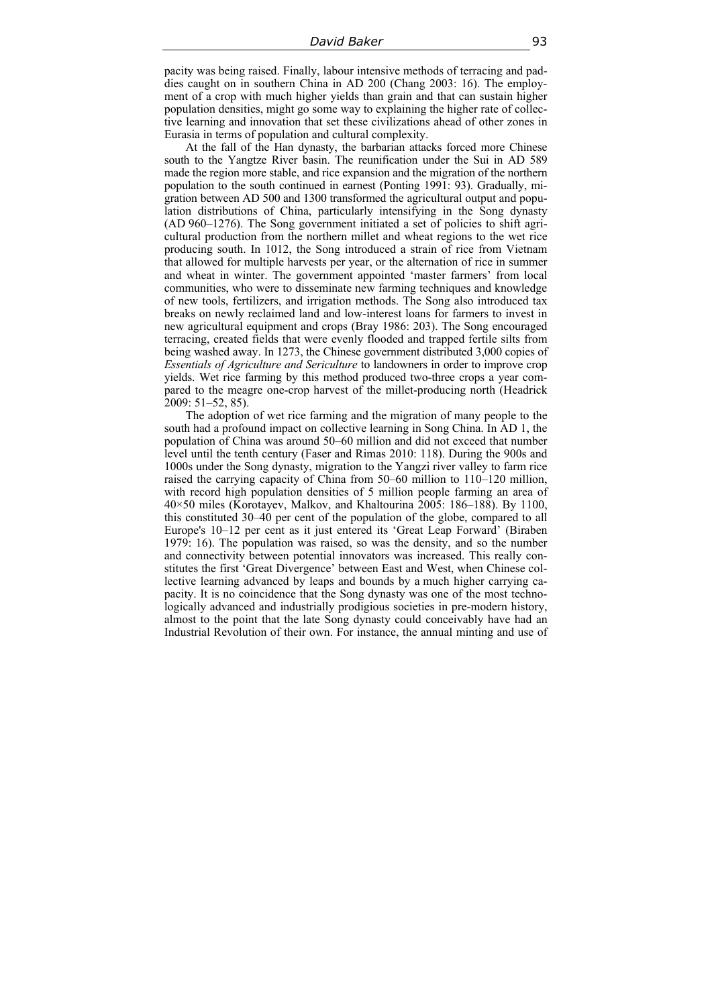pacity was being raised. Finally, labour intensive methods of terracing and paddies caught on in southern China in AD 200 (Chang 2003: 16). The employment of a crop with much higher yields than grain and that can sustain higher population densities, might go some way to explaining the higher rate of collective learning and innovation that set these civilizations ahead of other zones in Eurasia in terms of population and cultural complexity.

At the fall of the Han dynasty, the barbarian attacks forced more Chinese south to the Yangtze River basin. The reunification under the Sui in AD 589 made the region more stable, and rice expansion and the migration of the northern population to the south continued in earnest (Ponting 1991: 93). Gradually, migration between AD 500 and 1300 transformed the agricultural output and population distributions of China, particularly intensifying in the Song dynasty (AD 960–1276). The Song government initiated a set of policies to shift agricultural production from the northern millet and wheat regions to the wet rice producing south. In 1012, the Song introduced a strain of rice from Vietnam that allowed for multiple harvests per year, or the alternation of rice in summer and wheat in winter. The government appointed 'master farmers' from local communities, who were to disseminate new farming techniques and knowledge of new tools, fertilizers, and irrigation methods. The Song also introduced tax breaks on newly reclaimed land and low-interest loans for farmers to invest in new agricultural equipment and crops (Bray 1986: 203). The Song encouraged terracing, created fields that were evenly flooded and trapped fertile silts from being washed away. In 1273, the Chinese government distributed 3,000 copies of *Essentials of Agriculture and Sericulture* to landowners in order to improve crop yields. Wet rice farming by this method produced two-three crops a year compared to the meagre one-crop harvest of the millet-producing north (Headrick 2009: 51–52, 85).

The adoption of wet rice farming and the migration of many people to the south had a profound impact on collective learning in Song China. In AD 1, the population of China was around 50–60 million and did not exceed that number level until the tenth century (Faser and Rimas 2010: 118). During the 900s and 1000s under the Song dynasty, migration to the Yangzi river valley to farm rice raised the carrying capacity of China from 50–60 million to 110–120 million, with record high population densities of 5 million people farming an area of 40×50 miles (Korotayev, Malkov, and Khaltourina 2005: 186–188). By 1100, this constituted 30–40 per cent of the population of the globe, compared to all Europe's 10–12 per cent as it just entered its 'Great Leap Forward' (Biraben 1979: 16). The population was raised, so was the density, and so the number and connectivity between potential innovators was increased. This really constitutes the first 'Great Divergence' between East and West, when Chinese collective learning advanced by leaps and bounds by a much higher carrying capacity. It is no coincidence that the Song dynasty was one of the most technologically advanced and industrially prodigious societies in pre-modern history, almost to the point that the late Song dynasty could conceivably have had an Industrial Revolution of their own. For instance, the annual minting and use of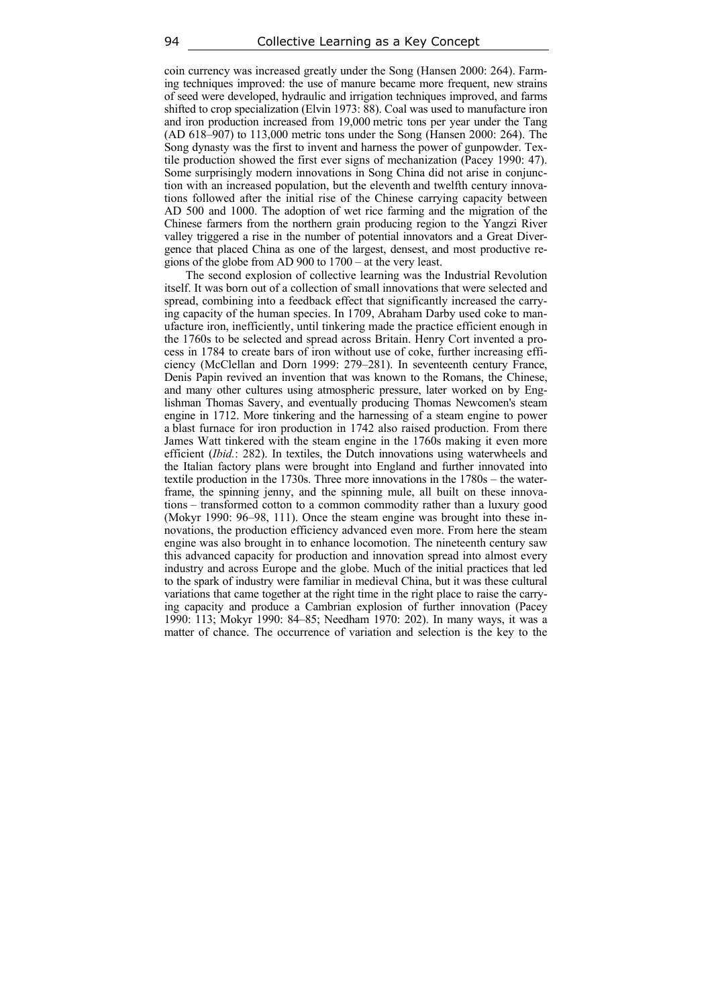coin currency was increased greatly under the Song (Hansen 2000: 264). Farming techniques improved: the use of manure became more frequent, new strains of seed were developed, hydraulic and irrigation techniques improved, and farms shifted to crop specialization (Elvin 1973: 88). Coal was used to manufacture iron and iron production increased from 19,000 metric tons per year under the Tang (AD 618–907) to 113,000 metric tons under the Song (Hansen 2000: 264). The Song dynasty was the first to invent and harness the power of gunpowder. Textile production showed the first ever signs of mechanization (Pacey 1990: 47). Some surprisingly modern innovations in Song China did not arise in conjunction with an increased population, but the eleventh and twelfth century innovations followed after the initial rise of the Chinese carrying capacity between AD 500 and 1000. The adoption of wet rice farming and the migration of the Chinese farmers from the northern grain producing region to the Yangzi River valley triggered a rise in the number of potential innovators and a Great Divergence that placed China as one of the largest, densest, and most productive regions of the globe from AD 900 to 1700 – at the very least.

The second explosion of collective learning was the Industrial Revolution itself. It was born out of a collection of small innovations that were selected and spread, combining into a feedback effect that significantly increased the carrying capacity of the human species. In 1709, Abraham Darby used coke to manufacture iron, inefficiently, until tinkering made the practice efficient enough in the 1760s to be selected and spread across Britain. Henry Cort invented a process in 1784 to create bars of iron without use of coke, further increasing efficiency (McClellan and Dorn 1999: 279–281). In seventeenth century France, Denis Papin revived an invention that was known to the Romans, the Chinese, and many other cultures using atmospheric pressure, later worked on by Englishman Thomas Savery, and eventually producing Thomas Newcomen's steam engine in 1712. More tinkering and the harnessing of a steam engine to power a blast furnace for iron production in 1742 also raised production. From there James Watt tinkered with the steam engine in the 1760s making it even more efficient (*Ibid.*: 282). In textiles, the Dutch innovations using waterwheels and the Italian factory plans were brought into England and further innovated into textile production in the 1730s. Three more innovations in the 1780s – the waterframe, the spinning jenny, and the spinning mule, all built on these innovations – transformed cotton to a common commodity rather than a luxury good (Mokyr 1990: 96–98, 111). Once the steam engine was brought into these innovations, the production efficiency advanced even more. From here the steam engine was also brought in to enhance locomotion. The nineteenth century saw this advanced capacity for production and innovation spread into almost every industry and across Europe and the globe. Much of the initial practices that led to the spark of industry were familiar in medieval China, but it was these cultural variations that came together at the right time in the right place to raise the carrying capacity and produce a Cambrian explosion of further innovation (Pacey 1990: 113; Mokyr 1990: 84–85; Needham 1970: 202). In many ways, it was a matter of chance. The occurrence of variation and selection is the key to the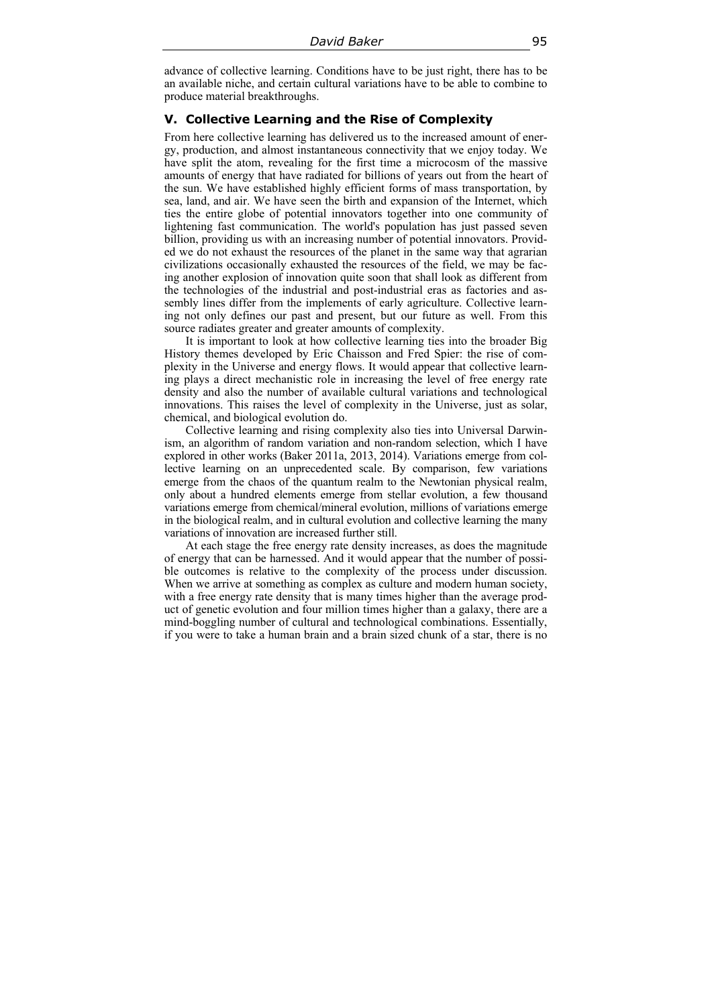advance of collective learning. Conditions have to be just right, there has to be an available niche, and certain cultural variations have to be able to combine to produce material breakthroughs.

### **V. Collective Learning and the Rise of Complexity**

From here collective learning has delivered us to the increased amount of energy, production, and almost instantaneous connectivity that we enjoy today. We have split the atom, revealing for the first time a microcosm of the massive amounts of energy that have radiated for billions of years out from the heart of the sun. We have established highly efficient forms of mass transportation, by sea, land, and air. We have seen the birth and expansion of the Internet, which ties the entire globe of potential innovators together into one community of lightening fast communication. The world's population has just passed seven billion, providing us with an increasing number of potential innovators. Provided we do not exhaust the resources of the planet in the same way that agrarian civilizations occasionally exhausted the resources of the field, we may be facing another explosion of innovation quite soon that shall look as different from the technologies of the industrial and post-industrial eras as factories and assembly lines differ from the implements of early agriculture. Collective learning not only defines our past and present, but our future as well. From this source radiates greater and greater amounts of complexity.

It is important to look at how collective learning ties into the broader Big History themes developed by Eric Chaisson and Fred Spier: the rise of complexity in the Universe and energy flows. It would appear that collective learning plays a direct mechanistic role in increasing the level of free energy rate density and also the number of available cultural variations and technological innovations. This raises the level of complexity in the Universe, just as solar, chemical, and biological evolution do.

Collective learning and rising complexity also ties into Universal Darwinism, an algorithm of random variation and non-random selection, which I have explored in other works (Baker 2011a, 2013, 2014). Variations emerge from collective learning on an unprecedented scale. By comparison, few variations emerge from the chaos of the quantum realm to the Newtonian physical realm, only about a hundred elements emerge from stellar evolution, a few thousand variations emerge from chemical/mineral evolution, millions of variations emerge in the biological realm, and in cultural evolution and collective learning the many variations of innovation are increased further still.

At each stage the free energy rate density increases, as does the magnitude of energy that can be harnessed. And it would appear that the number of possible outcomes is relative to the complexity of the process under discussion. When we arrive at something as complex as culture and modern human society, with a free energy rate density that is many times higher than the average product of genetic evolution and four million times higher than a galaxy, there are a mind-boggling number of cultural and technological combinations. Essentially, if you were to take a human brain and a brain sized chunk of a star, there is no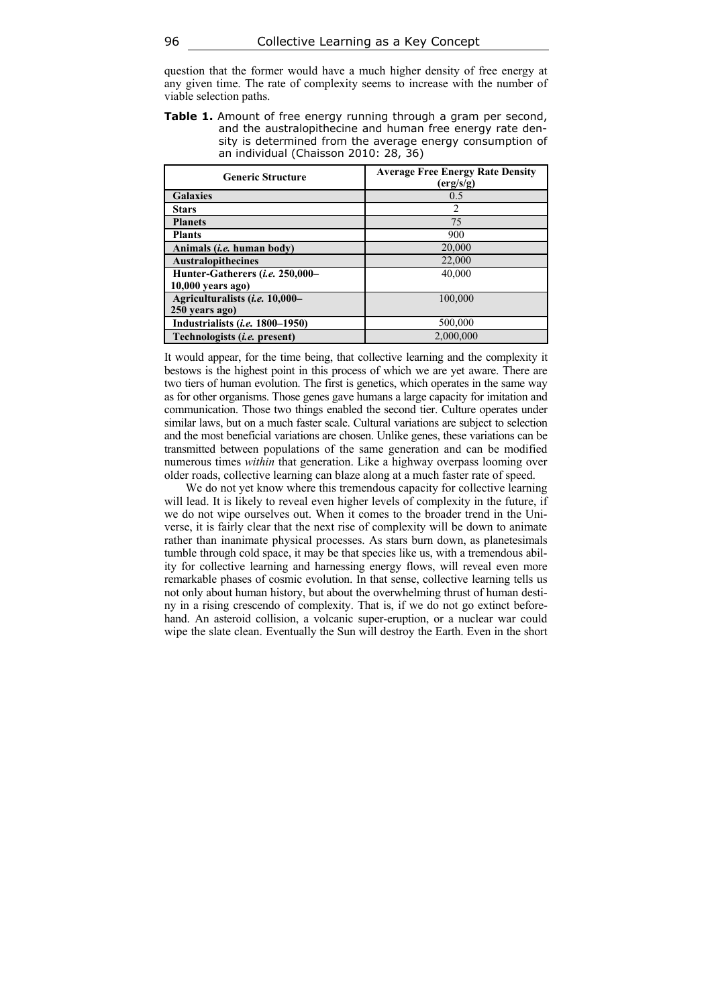question that the former would have a much higher density of free energy at any given time. The rate of complexity seems to increase with the number of viable selection paths.

**Table 1.** Amount of free energy running through a gram per second, and the australopithecine and human free energy rate density is determined from the average energy consumption of an individual (Chaisson 2010: 28, 36)

| <b>Generic Structure</b>                | <b>Average Free Energy Rate Density</b><br>(erg/s/g) |
|-----------------------------------------|------------------------------------------------------|
| <b>Galaxies</b>                         | 0.5                                                  |
| <b>Stars</b>                            | $\mathfrak{D}_{\mathfrak{p}}$                        |
| <b>Planets</b>                          | 75                                                   |
| <b>Plants</b>                           | 900                                                  |
| Animals ( <i>i.e.</i> human body)       | 20,000                                               |
| <b>Australopithecines</b>               | 22,000                                               |
| Hunter-Gatherers ( <i>i.e.</i> 250,000- | 40,000                                               |
| $10,000$ years ago)                     |                                                      |
| Agriculturalists (i.e. 10,000-          | 100,000                                              |
| 250 years ago)                          |                                                      |
| Industrialists ( <i>i.e.</i> 1800–1950) | 500,000                                              |
| Technologists <i>(i.e.</i> present)     | 2.000.000                                            |

It would appear, for the time being, that collective learning and the complexity it bestows is the highest point in this process of which we are yet aware. There are two tiers of human evolution. The first is genetics, which operates in the same way as for other organisms. Those genes gave humans a large capacity for imitation and communication. Those two things enabled the second tier. Culture operates under similar laws, but on a much faster scale. Cultural variations are subject to selection and the most beneficial variations are chosen. Unlike genes, these variations can be transmitted between populations of the same generation and can be modified numerous times *within* that generation. Like a highway overpass looming over older roads, collective learning can blaze along at a much faster rate of speed.

We do not yet know where this tremendous capacity for collective learning will lead. It is likely to reveal even higher levels of complexity in the future, if we do not wipe ourselves out. When it comes to the broader trend in the Universe, it is fairly clear that the next rise of complexity will be down to animate rather than inanimate physical processes. As stars burn down, as planetesimals tumble through cold space, it may be that species like us, with a tremendous ability for collective learning and harnessing energy flows, will reveal even more remarkable phases of cosmic evolution. In that sense, collective learning tells us not only about human history, but about the overwhelming thrust of human destiny in a rising crescendo of complexity. That is, if we do not go extinct beforehand. An asteroid collision, a volcanic super-eruption, or a nuclear war could wipe the slate clean. Eventually the Sun will destroy the Earth. Even in the short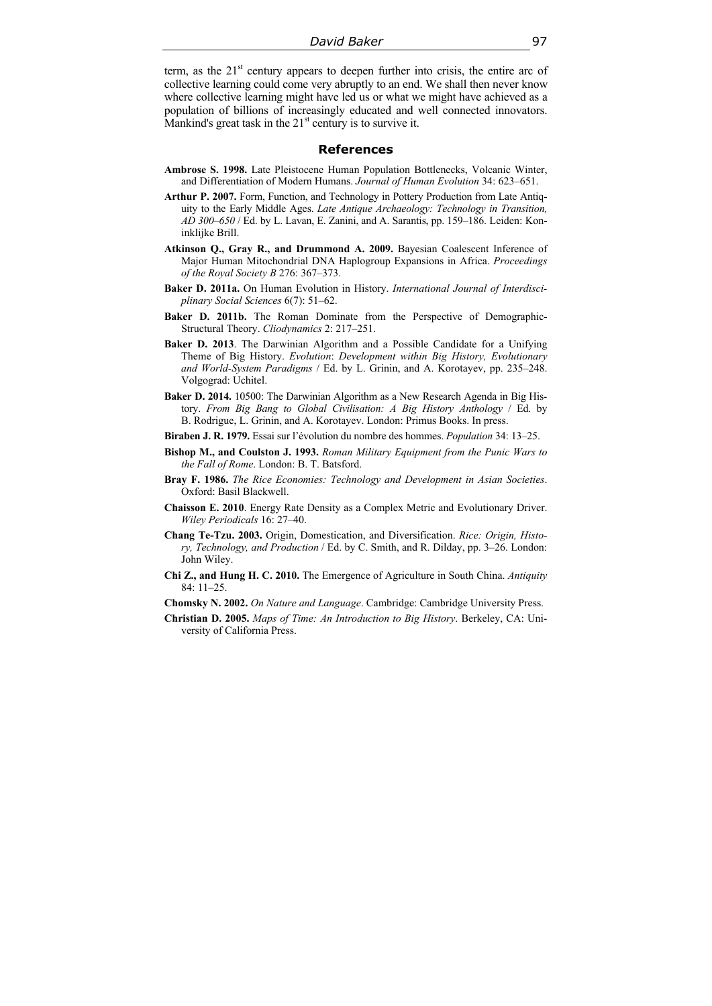term, as the  $21<sup>st</sup>$  century appears to deepen further into crisis, the entire arc of collective learning could come very abruptly to an end. We shall then never know where collective learning might have led us or what we might have achieved as a population of billions of increasingly educated and well connected innovators. Mankind's great task in the  $21<sup>st</sup>$  century is to survive it.

#### **References**

- **Ambrose S. 1998.** Late Pleistocene Human Population Bottlenecks, Volcanic Winter, and Differentiation of Modern Humans. *Journal of Human Evolution* 34: 623–651.
- **Arthur P. 2007.** Form, Function, and Technology in Pottery Production from Late Antiquity to the Early Middle Ages. *Late Antique Archaeology: Technology in Transition, AD 300–650* / Ed. by L. Lavan, E. Zanini, and A. Sarantis, pp. 159–186. Leiden: Koninklijke Brill.
- **Atkinson Q., Gray R., and Drummond A. 2009.** Bayesian Coalescent Inference of Major Human Mitochondrial DNA Haplogroup Expansions in Africa. *Proceedings of the Royal Society B* 276: 367–373.
- **Baker D. 2011a.** On Human Evolution in History. *International Journal of Interdisciplinary Social Sciences* 6(7): 51–62.
- **Baker D. 2011b.** The Roman Dominate from the Perspective of Demographic-Structural Theory. *Cliodynamics* 2: 217–251.
- **Baker D. 2013**. The Darwinian Algorithm and a Possible Candidate for a Unifying Theme of Big History. *Evolution*: *Development within Big History, Evolutionary and World-System Paradigms* / Ed. by L. Grinin, and A. Korotayev, pp. 235–248. Volgograd: Uchitel.
- **Baker D. 2014.** 10500: The Darwinian Algorithm as a New Research Agenda in Big History. *From Big Bang to Global Civilisation: A Big History Anthology* / Ed. by B. Rodrigue, L. Grinin, and A. Korotayev. London: Primus Books. In press.
- **Biraben J. R. 1979.** Essai sur l'évolution du nombre des hommes. *Population* 34: 13–25.
- **Bishop M., and Coulston J. 1993.** *Roman Military Equipment from the Punic Wars to the Fall of Rome*. London: B. T. Batsford.
- **Bray F. 1986.** *The Rice Economies: Technology and Development in Asian Societies*. Oxford: Basil Blackwell.
- **Chaisson E. 2010**. Energy Rate Density as a Complex Metric and Evolutionary Driver. *Wiley Periodicals* 16: 27–40.
- **Chang Te-Tzu. 2003.** Origin, Domestication, and Diversification. *Rice: Origin, History, Technology, and Production* / Ed. by C. Smith, and R. Dilday, pp. 3–26. London: John Wiley.
- **Chi Z., and Hung H. C. 2010.** The Emergence of Agriculture in South China. *Antiquity* 84: 11–25.
- **Chomsky N. 2002.** *On Nature and Language*. Cambridge: Cambridge University Press.
- **Christian D. 2005.** *Maps of Time: An Introduction to Big History*. Berkeley, CA: University of California Press.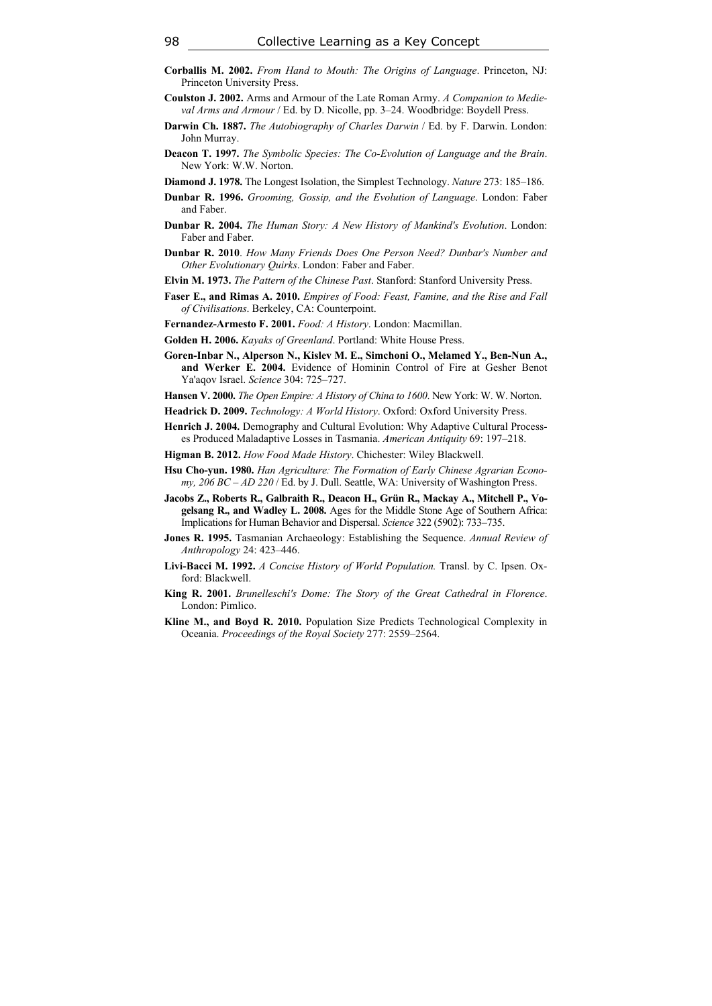- **Corballis M. 2002.** *From Hand to Mouth: The Origins of Language*. Princeton, NJ: Princeton University Press.
- **Coulston J. 2002.** Arms and Armour of the Late Roman Army. *A Companion to Medieval Arms and Armour* / Ed. by D. Nicolle, pp. 3–24. Woodbridge: Boydell Press.
- **Darwin Ch. 1887.** *The Autobiography of Charles Darwin* / Ed. by F. Darwin. London: John Murray.
- **Deacon T. 1997.** *The Symbolic Species: The Co-Evolution of Language and the Brain*. New York: W.W. Norton.
- **Diamond J. 1978.** The Longest Isolation, the Simplest Technology. *Nature* 273: 185–186.
- **Dunbar R. 1996.** *Grooming, Gossip, and the Evolution of Language*. London: Faber and Faber.
- **Dunbar R. 2004.** *The Human Story: A New History of Mankind's Evolution*. London: Faber and Faber.
- **Dunbar R. 2010**. *How Many Friends Does One Person Need? Dunbar's Number and Other Evolutionary Quirks*. London: Faber and Faber.
- **Elvin M. 1973.** *The Pattern of the Chinese Past*. Stanford: Stanford University Press.
- **Faser E., and Rimas A. 2010.** *Empires of Food: Feast, Famine, and the Rise and Fall of Civilisations*. Berkeley, CA: Counterpoint.
- **Fernandez-Armesto F. 2001.** *Food: A History*. London: Macmillan.
- **Golden H. 2006.** *Kayaks of Greenland*. Portland: White House Press.
- **Goren-Inbar N., Alperson N., Kislev M. E., Simchoni O., Melamed Y., Ben-Nun A., and Werker E. 2004.** Evidence of Hominin Control of Fire at Gesher Benot Ya'aqov Israel. *Science* 304: 725–727.
- **Hansen V. 2000.** *The Open Empire: A History of China to 1600*. New York: W. W. Norton.
- **Headrick D. 2009.** *Technology: A World History*. Oxford: Oxford University Press.
- **Henrich J. 2004.** Demography and Cultural Evolution: Why Adaptive Cultural Processes Produced Maladaptive Losses in Tasmania. *American Antiquity* 69: 197–218.
- **Higman B. 2012.** *How Food Made History*. Chichester: Wiley Blackwell.
- **Hsu Cho-yun. 1980.** *Han Agriculture: The Formation of Early Chinese Agrarian Economy, 206 BC – AD 220* / Ed. by J. Dull. Seattle, WA: University of Washington Press.
- **Jacobs Z., Roberts R., Galbraith R., Deacon H., Grün R., Mackay A., Mitchell P., Vogelsang R., and Wadley L. 2008.** Ages for the Middle Stone Age of Southern Africa: Implications for Human Behavior and Dispersal. *Science* 322 (5902): 733–735.
- **Jones R. 1995.** Tasmanian Archaeology: Establishing the Sequence. *Annual Review of Anthropology* 24: 423–446.
- **Livi-Bacci M. 1992.** *A Concise History of World Population.* Transl. by C. Ipsen. Oxford: Blackwell.
- **King R. 2001.** *Brunelleschi's Dome: The Story of the Great Cathedral in Florence*. London: Pimlico.
- **Kline M., and Boyd R. 2010.** Population Size Predicts Technological Complexity in Oceania. *Proceedings of the Royal Society* 277: 2559–2564.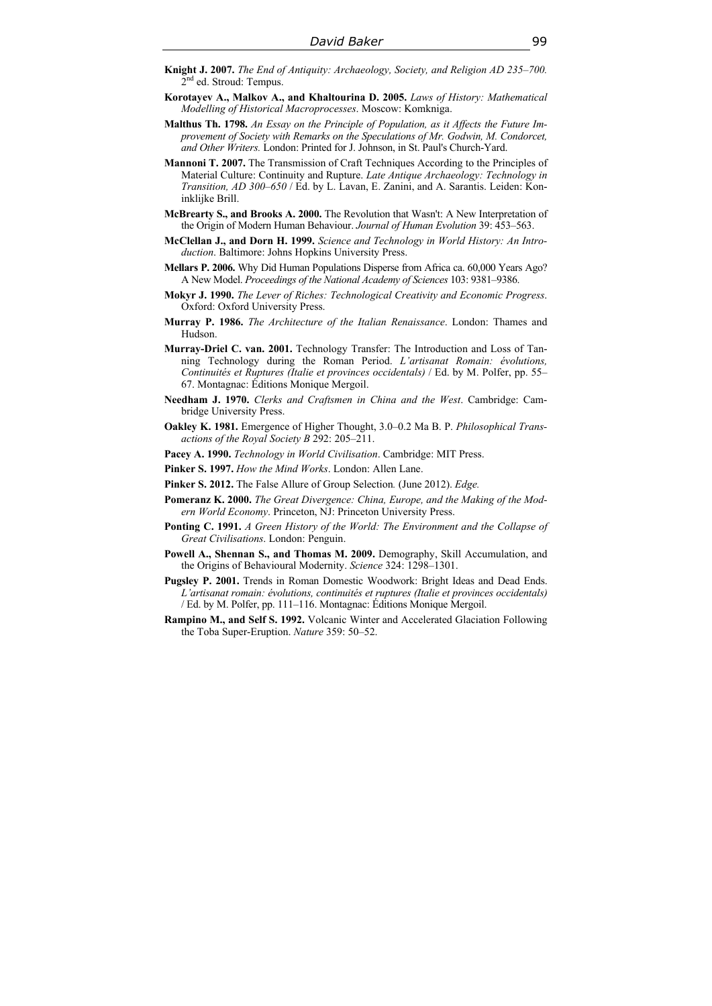- **Knight J. 2007.** *The End of Antiquity: Archaeology, Society, and Religion AD 235–700.*  2<sup>nd</sup> ed. Stroud: Tempus.
- **Korotayev A., Malkov A., and Khaltourina D. 2005.** *Laws of History: Mathematical Modelling of Historical Macroprocesses*. Moscow: Komkniga.
- **Malthus Th. 1798.** *An Essay on the Principle of Population, as it Affects the Future Improvement of Society with Remarks on the Speculations of Mr. Godwin, M. Condorcet, and Other Writers.* London: Printed for J. Johnson, in St. Paul's Church-Yard.
- **Mannoni T. 2007.** The Transmission of Craft Techniques According to the Principles of Material Culture: Continuity and Rupture. *Late Antique Archaeology: Technology in Transition, AD 300–650* / Ed. by L. Lavan, E. Zanini, and A. Sarantis. Leiden: Koninklijke Brill.
- **McBrearty S., and Brooks A. 2000.** The Revolution that Wasn't: A New Interpretation of the Origin of Modern Human Behaviour. *Journal of Human Evolution* 39: 453–563.
- **McClellan J., and Dorn H. 1999.** *Science and Technology in World History: An Introduction*. Baltimore: Johns Hopkins University Press.
- **Mellars P. 2006.** Why Did Human Populations Disperse from Africa ca. 60,000 Years Ago? A New Model. *Proceedings of the National Academy of Sciences* 103: 9381–9386.
- **Mokyr J. 1990.** *The Lever of Riches: Technological Creativity and Economic Progress*. Oxford: Oxford University Press.
- **Murray P. 1986.** *The Architecture of the Italian Renaissance*. London: Thames and Hudson.
- **Murray-Driel C. van. 2001.** Technology Transfer: The Introduction and Loss of Tanning Technology during the Roman Period. *L'artisanat Romain: évolutions, Continuités et Ruptures (Italie et provinces occidentals)* / Ed. by M. Polfer, pp. 55– 67. Montagnac: Éditions Monique Mergoil.
- **Needham J. 1970.** *Clerks and Craftsmen in China and the West*. Cambridge: Cambridge University Press.
- **Oakley K. 1981.** Emergence of Higher Thought, 3.0–0.2 Ma B. P. *Philosophical Transactions of the Royal Society B* 292: 205–211.
- **Pacey A. 1990.** *Technology in World Civilisation*. Cambridge: MIT Press.
- **Pinker S. 1997.** *How the Mind Works*. London: Allen Lane.
- **Pinker S. 2012.** The False Allure of Group Selection*.* (June 2012). *Edge.*
- **Pomeranz K. 2000.** *The Great Divergence: China, Europe, and the Making of the Modern World Economy*. Princeton, NJ: Princeton University Press.
- **Ponting C. 1991.** *A Green History of the World: The Environment and the Collapse of Great Civilisations*. London: Penguin.
- **Powell A., Shennan S., and Thomas M. 2009.** Demography, Skill Accumulation, and the Origins of Behavioural Modernity. *Science* 324: 1298–1301.
- **Pugsley P. 2001.** Trends in Roman Domestic Woodwork: Bright Ideas and Dead Ends. *L'artisanat romain: évolutions, continuités et ruptures (Italie et provinces occidentals)* / Ed. by M. Polfer, pp. 111–116. Montagnac: Éditions Monique Mergoil.
- **Rampino M., and Self S. 1992.** Volcanic Winter and Accelerated Glaciation Following the Toba Super-Eruption. *Nature* 359: 50–52.